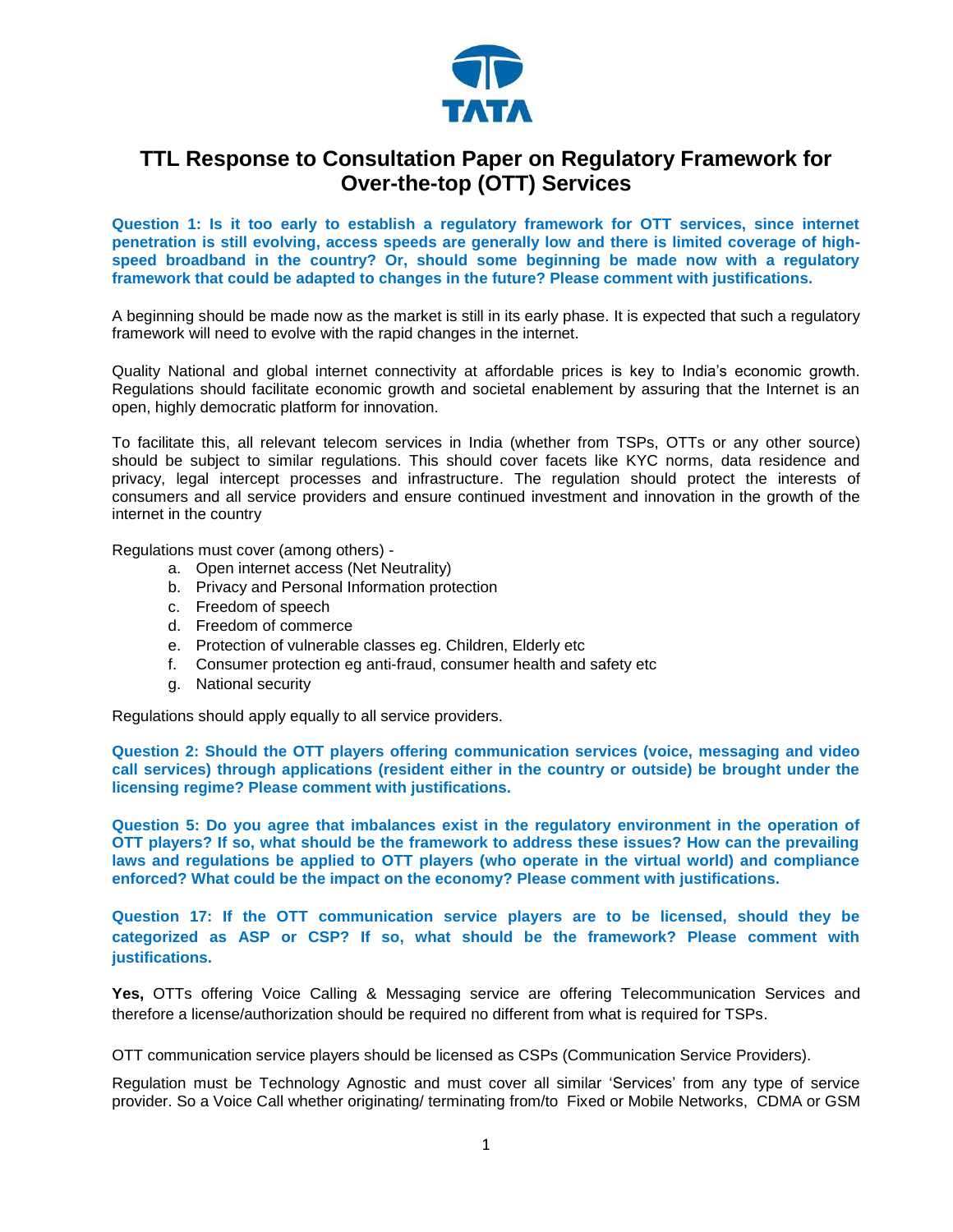

## **TTL Response to Consultation Paper on Regulatory Framework for Over-the-top (OTT) Services**

**Question 1: Is it too early to establish a regulatory framework for OTT services, since internet penetration is still evolving, access speeds are generally low and there is limited coverage of highspeed broadband in the country? Or, should some beginning be made now with a regulatory framework that could be adapted to changes in the future? Please comment with justifications.**

A beginning should be made now as the market is still in its early phase. It is expected that such a regulatory framework will need to evolve with the rapid changes in the internet.

Quality National and global internet connectivity at affordable prices is key to India's economic growth. Regulations should facilitate economic growth and societal enablement by assuring that the Internet is an open, highly democratic platform for innovation.

To facilitate this, all relevant telecom services in India (whether from TSPs, OTTs or any other source) should be subject to similar regulations. This should cover facets like KYC norms, data residence and privacy, legal intercept processes and infrastructure. The regulation should protect the interests of consumers and all service providers and ensure continued investment and innovation in the growth of the internet in the country

Regulations must cover (among others) -

- a. Open internet access (Net Neutrality)
- b. Privacy and Personal Information protection
- c. Freedom of speech
- d. Freedom of commerce
- e. Protection of vulnerable classes eg. Children, Elderly etc
- f. Consumer protection eg anti-fraud, consumer health and safety etc
- g. National security

Regulations should apply equally to all service providers.

**Question 2: Should the OTT players offering communication services (voice, messaging and video call services) through applications (resident either in the country or outside) be brought under the licensing regime? Please comment with justifications.**

**Question 5: Do you agree that imbalances exist in the regulatory environment in the operation of OTT players? If so, what should be the framework to address these issues? How can the prevailing laws and regulations be applied to OTT players (who operate in the virtual world) and compliance enforced? What could be the impact on the economy? Please comment with justifications.**

**Question 17: If the OTT communication service players are to be licensed, should they be categorized as ASP or CSP? If so, what should be the framework? Please comment with justifications.**

**Yes,** OTTs offering Voice Calling & Messaging service are offering Telecommunication Services and therefore a license/authorization should be required no different from what is required for TSPs.

OTT communication service players should be licensed as CSPs (Communication Service Providers).

Regulation must be Technology Agnostic and must cover all similar 'Services' from any type of service provider. So a Voice Call whether originating/ terminating from/to Fixed or Mobile Networks, CDMA or GSM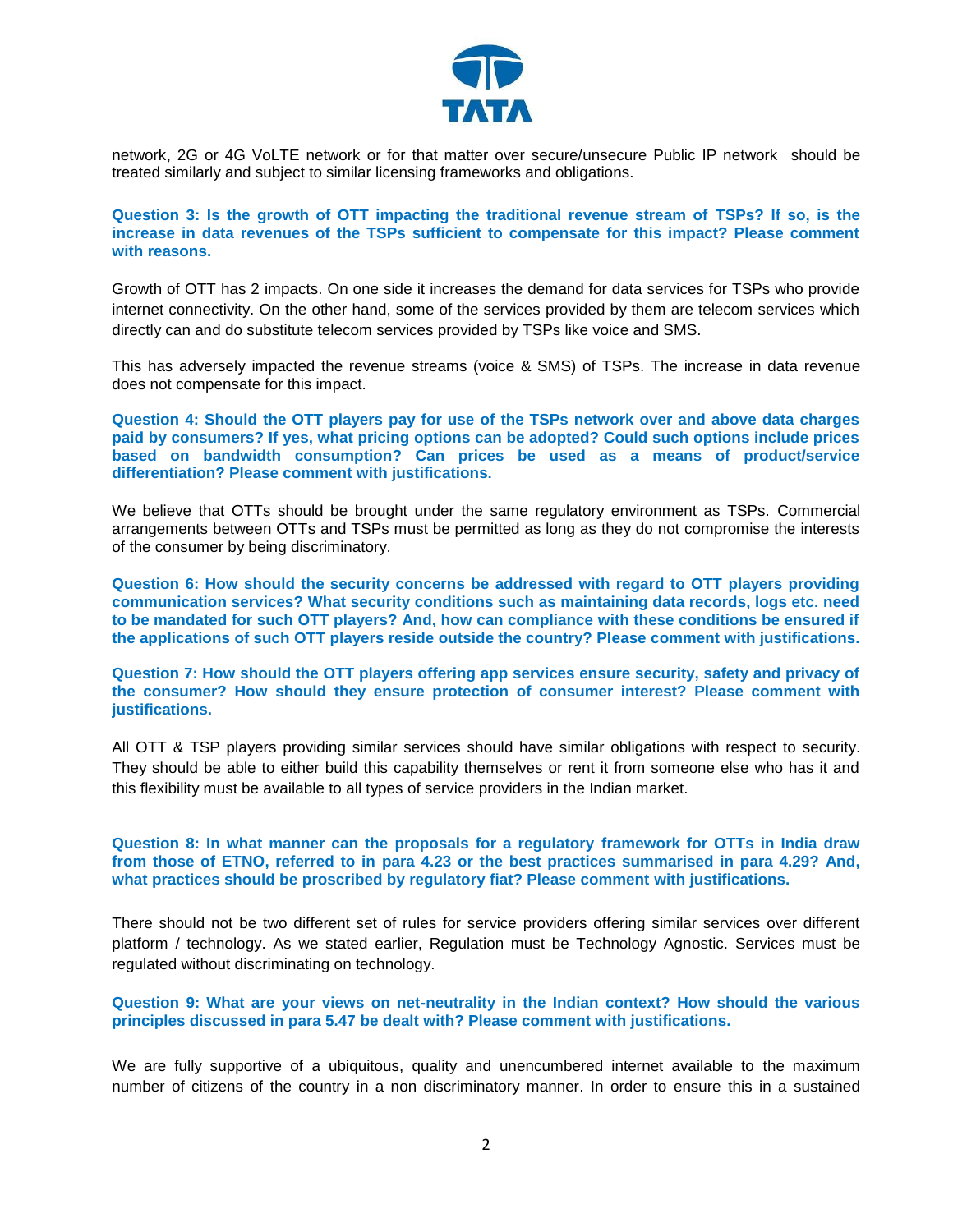

network, 2G or 4G VoLTE network or for that matter over secure/unsecure Public IP network should be treated similarly and subject to similar licensing frameworks and obligations.

**Question 3: Is the growth of OTT impacting the traditional revenue stream of TSPs? If so, is the increase in data revenues of the TSPs sufficient to compensate for this impact? Please comment with reasons.**

Growth of OTT has 2 impacts. On one side it increases the demand for data services for TSPs who provide internet connectivity. On the other hand, some of the services provided by them are telecom services which directly can and do substitute telecom services provided by TSPs like voice and SMS.

This has adversely impacted the revenue streams (voice & SMS) of TSPs. The increase in data revenue does not compensate for this impact.

**Question 4: Should the OTT players pay for use of the TSPs network over and above data charges paid by consumers? If yes, what pricing options can be adopted? Could such options include prices based on bandwidth consumption? Can prices be used as a means of product/service differentiation? Please comment with justifications.**

We believe that OTTs should be brought under the same regulatory environment as TSPs. Commercial arrangements between OTTs and TSPs must be permitted as long as they do not compromise the interests of the consumer by being discriminatory.

**Question 6: How should the security concerns be addressed with regard to OTT players providing communication services? What security conditions such as maintaining data records, logs etc. need to be mandated for such OTT players? And, how can compliance with these conditions be ensured if the applications of such OTT players reside outside the country? Please comment with justifications.**

**Question 7: How should the OTT players offering app services ensure security, safety and privacy of the consumer? How should they ensure protection of consumer interest? Please comment with justifications.**

All OTT & TSP players providing similar services should have similar obligations with respect to security. They should be able to either build this capability themselves or rent it from someone else who has it and this flexibility must be available to all types of service providers in the Indian market.

**Question 8: In what manner can the proposals for a regulatory framework for OTTs in India draw from those of ETNO, referred to in para 4.23 or the best practices summarised in para 4.29? And, what practices should be proscribed by regulatory fiat? Please comment with justifications.**

There should not be two different set of rules for service providers offering similar services over different platform / technology. As we stated earlier, Regulation must be Technology Agnostic. Services must be regulated without discriminating on technology.

## **Question 9: What are your views on net-neutrality in the Indian context? How should the various principles discussed in para 5.47 be dealt with? Please comment with justifications.**

We are fully supportive of a ubiquitous, quality and unencumbered internet available to the maximum number of citizens of the country in a non discriminatory manner. In order to ensure this in a sustained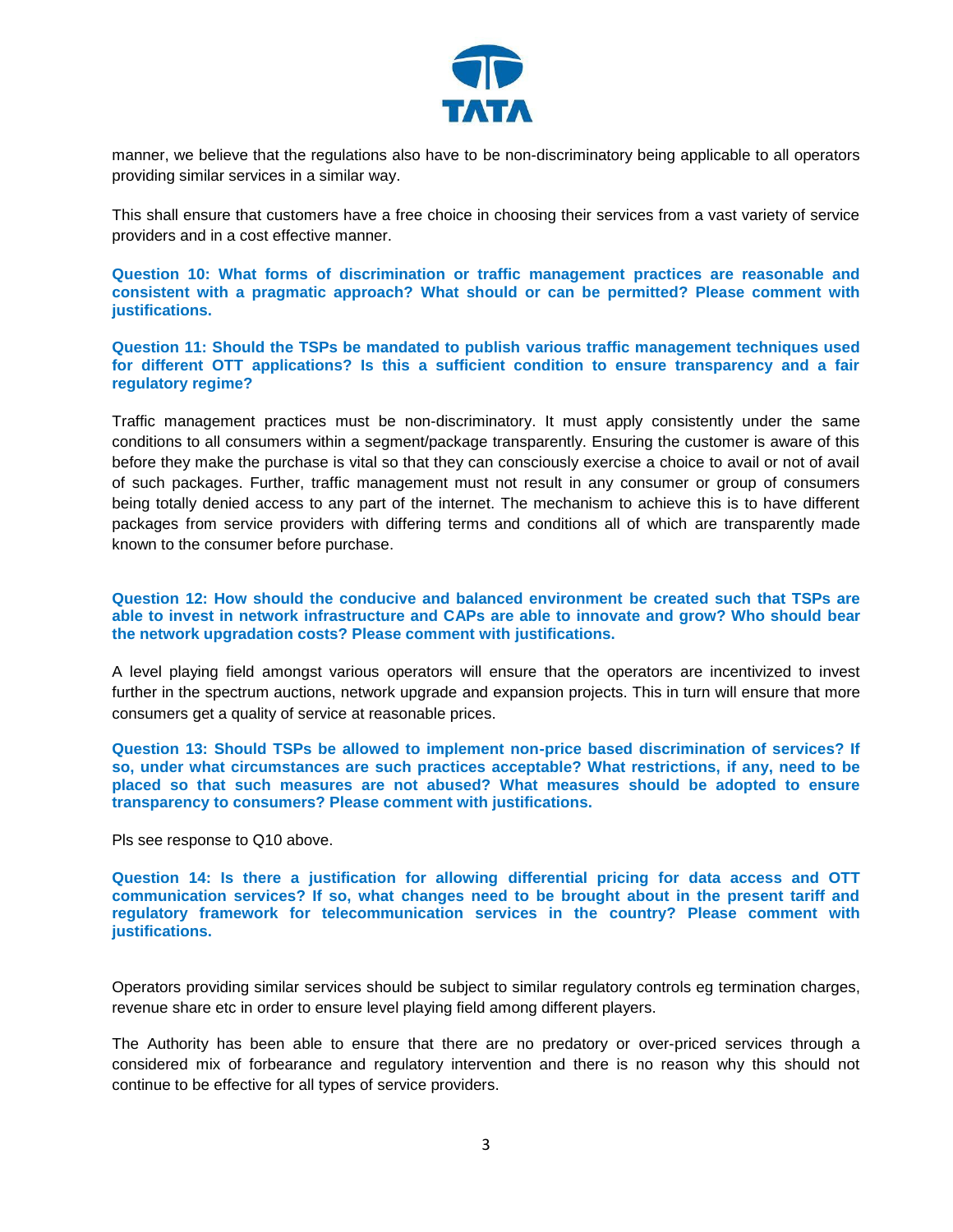

manner, we believe that the regulations also have to be non-discriminatory being applicable to all operators providing similar services in a similar way.

This shall ensure that customers have a free choice in choosing their services from a vast variety of service providers and in a cost effective manner.

**Question 10: What forms of discrimination or traffic management practices are reasonable and consistent with a pragmatic approach? What should or can be permitted? Please comment with justifications.**

**Question 11: Should the TSPs be mandated to publish various traffic management techniques used for different OTT applications? Is this a sufficient condition to ensure transparency and a fair regulatory regime?**

Traffic management practices must be non-discriminatory. It must apply consistently under the same conditions to all consumers within a segment/package transparently. Ensuring the customer is aware of this before they make the purchase is vital so that they can consciously exercise a choice to avail or not of avail of such packages. Further, traffic management must not result in any consumer or group of consumers being totally denied access to any part of the internet. The mechanism to achieve this is to have different packages from service providers with differing terms and conditions all of which are transparently made known to the consumer before purchase.

**Question 12: How should the conducive and balanced environment be created such that TSPs are able to invest in network infrastructure and CAPs are able to innovate and grow? Who should bear the network upgradation costs? Please comment with justifications.**

A level playing field amongst various operators will ensure that the operators are incentivized to invest further in the spectrum auctions, network upgrade and expansion projects. This in turn will ensure that more consumers get a quality of service at reasonable prices.

**Question 13: Should TSPs be allowed to implement non-price based discrimination of services? If so, under what circumstances are such practices acceptable? What restrictions, if any, need to be placed so that such measures are not abused? What measures should be adopted to ensure transparency to consumers? Please comment with justifications.**

Pls see response to Q10 above.

**Question 14: Is there a justification for allowing differential pricing for data access and OTT communication services? If so, what changes need to be brought about in the present tariff and regulatory framework for telecommunication services in the country? Please comment with justifications.**

Operators providing similar services should be subject to similar regulatory controls eg termination charges, revenue share etc in order to ensure level playing field among different players.

The Authority has been able to ensure that there are no predatory or over-priced services through a considered mix of forbearance and regulatory intervention and there is no reason why this should not continue to be effective for all types of service providers.